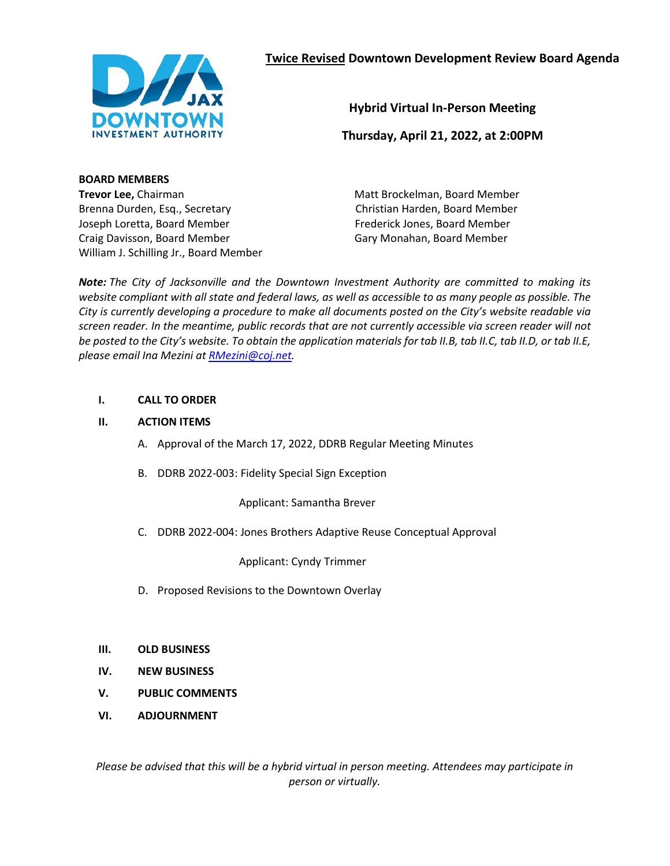

**Hybrid Virtual In-Person Meeting**

**Thursday, April 21, 2022, at 2:00PM**

#### **BOARD MEMBERS**

**Trevor Lee,** Chairman Brenna Durden, Esq., Secretary Joseph Loretta, Board Member Craig Davisson, Board Member William J. Schilling Jr., Board Member Matt Brockelman, Board Member Christian Harden, Board Member Frederick Jones, Board Member Gary Monahan, Board Member

*Note: The City of Jacksonville and the Downtown Investment Authority are committed to making its website compliant with all state and federal laws, as well as accessible to as many people as possible. The City is currently developing a procedure to make all documents posted on the City's website readable via screen reader. In the meantime, public records that are not currently accessible via screen reader will not be posted to the City's website. To obtain the application materials for tab II.B, tab II.C, tab II.D, or tab II.E, please email Ina Mezini at [RMezini@coj.net.](mailto:RMezini@coj.net)* 

#### **I. CALL TO ORDER**

#### **II. ACTION ITEMS**

- A. Approval of the March 17, 2022, DDRB Regular Meeting Minutes
- B. DDRB 2022-003: Fidelity Special Sign Exception

Applicant: Samantha Brever

C. DDRB 2022-004: Jones Brothers Adaptive Reuse Conceptual Approval

Applicant: Cyndy Trimmer

D. Proposed Revisions to the Downtown Overlay

#### **III. OLD BUSINESS**

- **IV. NEW BUSINESS**
- **V. PUBLIC COMMENTS**
- **VI. ADJOURNMENT**

*Please be advised that this will be a hybrid virtual in person meeting. Attendees may participate in person or virtually.*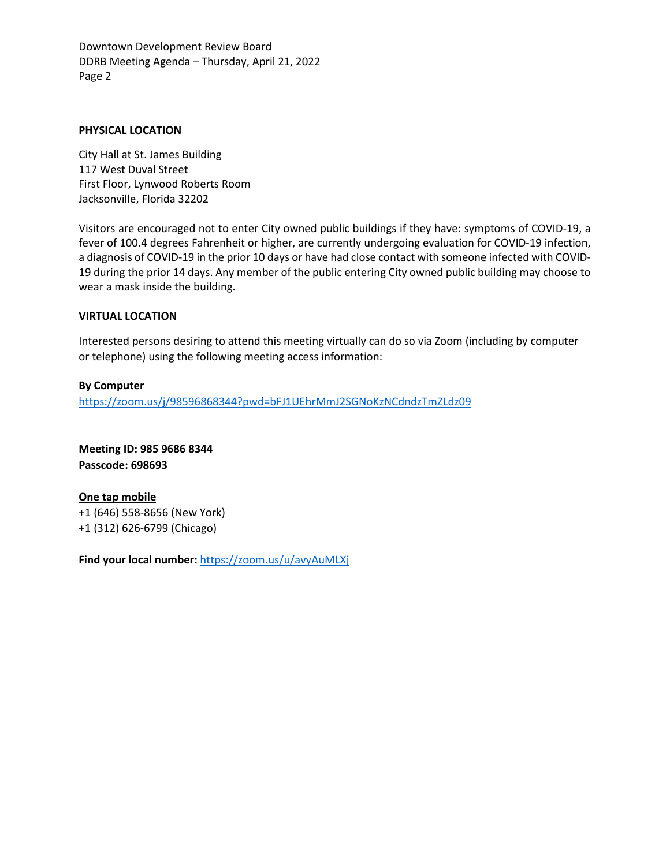Downtown Development Review Board DDRB Meeting Agenda – Thursday, April 21, 2022 Page 2

#### **PHYSICAL LOCATION**

City Hall at St. James Building 117 West Duval Street First Floor, Lynwood Roberts Room Jacksonville, Florida 32202

Visitors are encouraged not to enter City owned public buildings if they have: symptoms of COVID-19, a fever of 100.4 degrees Fahrenheit or higher, are currently undergoing evaluation for COVID-19 infection, a diagnosis of COVID-19 in the prior 10 days or have had close contact with someone infected with COVID-19 during the prior 14 days. Any member of the public entering City owned public building may choose to wear a mask inside the building.

#### **VIRTUAL LOCATION**

Interested persons desiring to attend this meeting virtually can do so via Zoom (including by computer or telephone) using the following meeting access information:

#### **By Computer**

<https://zoom.us/j/98596868344?pwd=bFJ1UEhrMmJ2SGNoKzNCdndzTmZLdz09>

**Meeting ID: 985 9686 8344 Passcode: 698693**

**One tap mobile** +1 (646) 558-8656 (New York) +1 (312) 626-6799 (Chicago)

**Find your local number:** <https://zoom.us/u/avyAuMLXj>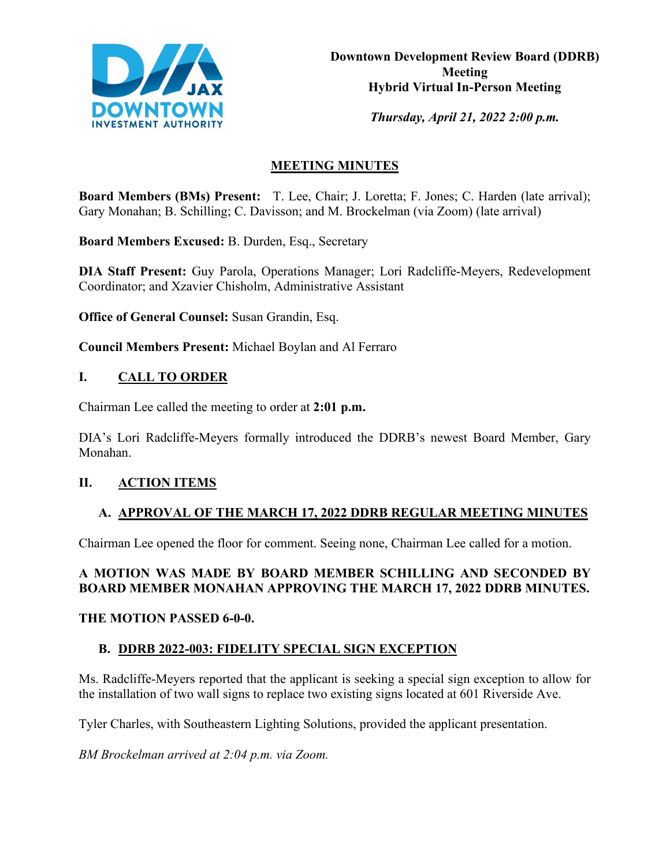

*Thursday, April 21, 2022 2:00 p.m.* 

# **MEETING MINUTES**

**Board Members (BMs) Present:** T. Lee, Chair; J. Loretta; F. Jones; C. Harden (late arrival); Gary Monahan; B. Schilling; C. Davisson; and M. Brockelman (via Zoom) (late arrival)

**Board Members Excused:** B. Durden, Esq., Secretary

**DIA Staff Present:** Guy Parola, Operations Manager; Lori Radcliffe-Meyers, Redevelopment Coordinator; and Xzavier Chisholm, Administrative Assistant

**Office of General Counsel:** Susan Grandin, Esq.

**Council Members Present:** Michael Boylan and Al Ferraro

## **I. CALL TO ORDER**

Chairman Lee called the meeting to order at **2:01 p.m.**

DIA's Lori Radcliffe-Meyers formally introduced the DDRB's newest Board Member, Gary Monahan.

## **II. ACTION ITEMS**

## **A. APPROVAL OF THE MARCH 17, 2022 DDRB REGULAR MEETING MINUTES**

Chairman Lee opened the floor for comment. Seeing none, Chairman Lee called for a motion.

## **A MOTION WAS MADE BY BOARD MEMBER SCHILLING AND SECONDED BY BOARD MEMBER MONAHAN APPROVING THE MARCH 17, 2022 DDRB MINUTES.**

#### **THE MOTION PASSED 6-0-0.**

## **B. DDRB 2022-003: FIDELITY SPECIAL SIGN EXCEPTION**

Ms. Radcliffe-Meyers reported that the applicant is seeking a special sign exception to allow for the installation of two wall signs to replace two existing signs located at 601 Riverside Ave.

Tyler Charles, with Southeastern Lighting Solutions, provided the applicant presentation.

*BM Brockelman arrived at 2:04 p.m. via Zoom.*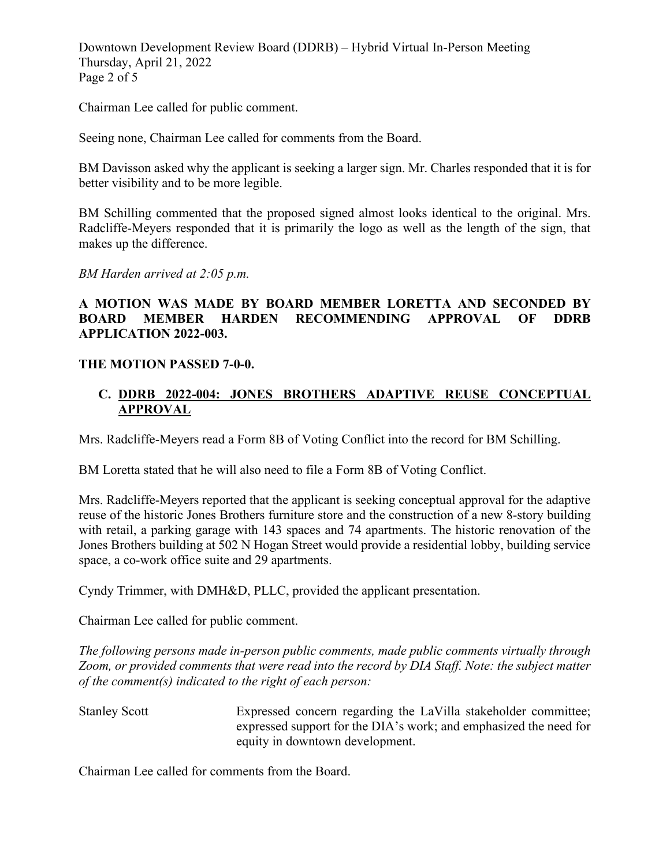Downtown Development Review Board (DDRB) – Hybrid Virtual In-Person Meeting Thursday, April 21, 2022 Page 2 of 5

Chairman Lee called for public comment.

Seeing none, Chairman Lee called for comments from the Board.

BM Davisson asked why the applicant is seeking a larger sign. Mr. Charles responded that it is for better visibility and to be more legible.

BM Schilling commented that the proposed signed almost looks identical to the original. Mrs. Radcliffe-Meyers responded that it is primarily the logo as well as the length of the sign, that makes up the difference.

*BM Harden arrived at 2:05 p.m.*

## **A MOTION WAS MADE BY BOARD MEMBER LORETTA AND SECONDED BY BOARD MEMBER HARDEN RECOMMENDING APPROVAL OF DDRB APPLICATION 2022-003.**

#### **THE MOTION PASSED 7-0-0.**

#### **C. DDRB 2022-004: JONES BROTHERS ADAPTIVE REUSE CONCEPTUAL APPROVAL**

Mrs. Radcliffe-Meyers read a Form 8B of Voting Conflict into the record for BM Schilling.

BM Loretta stated that he will also need to file a Form 8B of Voting Conflict.

Mrs. Radcliffe-Meyers reported that the applicant is seeking conceptual approval for the adaptive reuse of the historic Jones Brothers furniture store and the construction of a new 8-story building with retail, a parking garage with 143 spaces and 74 apartments. The historic renovation of the Jones Brothers building at 502 N Hogan Street would provide a residential lobby, building service space, a co-work office suite and 29 apartments.

Cyndy Trimmer, with DMH&D, PLLC, provided the applicant presentation.

Chairman Lee called for public comment.

*The following persons made in-person public comments, made public comments virtually through Zoom, or provided comments that were read into the record by DIA Staff. Note: the subject matter of the comment(s) indicated to the right of each person:*

Stanley Scott Expressed concern regarding the LaVilla stakeholder committee; expressed support for the DIA's work; and emphasized the need for equity in downtown development.

Chairman Lee called for comments from the Board.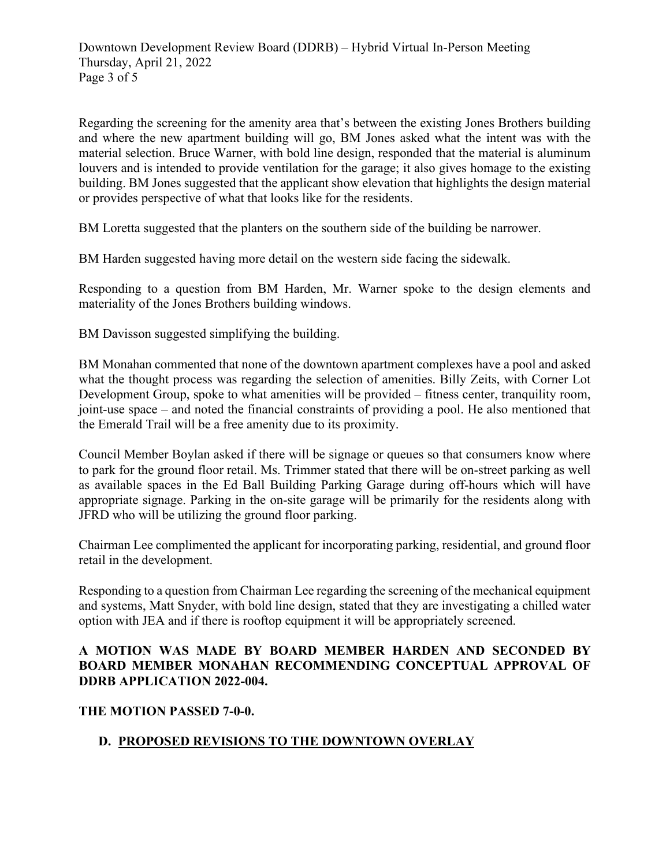Regarding the screening for the amenity area that's between the existing Jones Brothers building and where the new apartment building will go, BM Jones asked what the intent was with the material selection. Bruce Warner, with bold line design, responded that the material is aluminum louvers and is intended to provide ventilation for the garage; it also gives homage to the existing building. BM Jones suggested that the applicant show elevation that highlights the design material or provides perspective of what that looks like for the residents.

BM Loretta suggested that the planters on the southern side of the building be narrower.

BM Harden suggested having more detail on the western side facing the sidewalk.

Responding to a question from BM Harden, Mr. Warner spoke to the design elements and materiality of the Jones Brothers building windows.

BM Davisson suggested simplifying the building.

BM Monahan commented that none of the downtown apartment complexes have a pool and asked what the thought process was regarding the selection of amenities. Billy Zeits, with Corner Lot Development Group, spoke to what amenities will be provided – fitness center, tranquility room, joint-use space – and noted the financial constraints of providing a pool. He also mentioned that the Emerald Trail will be a free amenity due to its proximity.

Council Member Boylan asked if there will be signage or queues so that consumers know where to park for the ground floor retail. Ms. Trimmer stated that there will be on-street parking as well as available spaces in the Ed Ball Building Parking Garage during off-hours which will have appropriate signage. Parking in the on-site garage will be primarily for the residents along with JFRD who will be utilizing the ground floor parking.

Chairman Lee complimented the applicant for incorporating parking, residential, and ground floor retail in the development.

Responding to a question from Chairman Lee regarding the screening of the mechanical equipment and systems, Matt Snyder, with bold line design, stated that they are investigating a chilled water option with JEA and if there is rooftop equipment it will be appropriately screened.

## **A MOTION WAS MADE BY BOARD MEMBER HARDEN AND SECONDED BY BOARD MEMBER MONAHAN RECOMMENDING CONCEPTUAL APPROVAL OF DDRB APPLICATION 2022-004.**

## **THE MOTION PASSED 7-0-0.**

# **D. PROPOSED REVISIONS TO THE DOWNTOWN OVERLAY**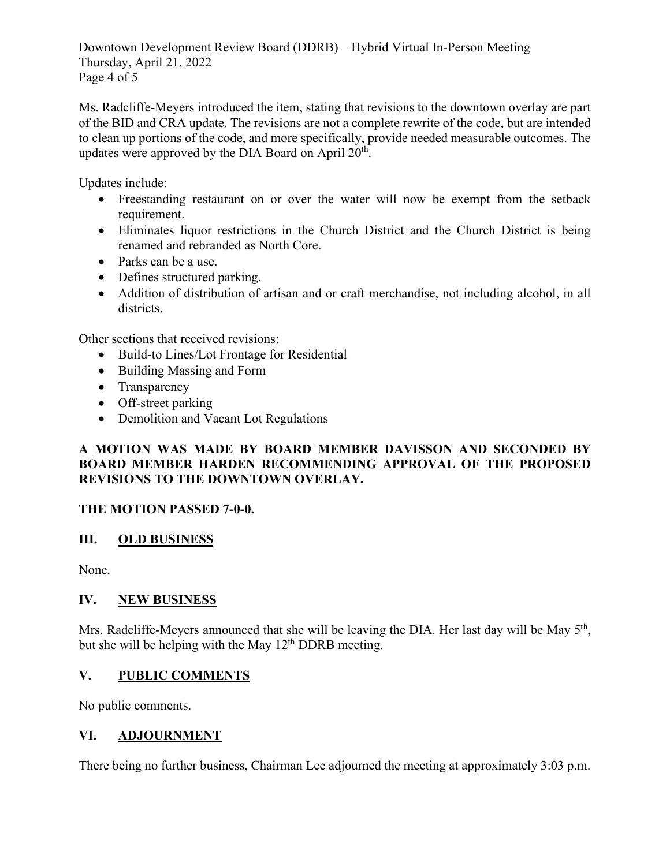Downtown Development Review Board (DDRB) – Hybrid Virtual In-Person Meeting Thursday, April 21, 2022 Page 4 of 5

Ms. Radcliffe-Meyers introduced the item, stating that revisions to the downtown overlay are part of the BID and CRA update. The revisions are not a complete rewrite of the code, but are intended to clean up portions of the code, and more specifically, provide needed measurable outcomes. The updates were approved by the DIA Board on April  $20<sup>th</sup>$ .

Updates include:

- Freestanding restaurant on or over the water will now be exempt from the setback requirement.
- Eliminates liquor restrictions in the Church District and the Church District is being renamed and rebranded as North Core.
- Parks can be a use.
- Defines structured parking.
- Addition of distribution of artisan and or craft merchandise, not including alcohol, in all districts.

Other sections that received revisions:

- Build-to Lines/Lot Frontage for Residential
- Building Massing and Form
- Transparency
- Off-street parking
- Demolition and Vacant Lot Regulations

## **A MOTION WAS MADE BY BOARD MEMBER DAVISSON AND SECONDED BY BOARD MEMBER HARDEN RECOMMENDING APPROVAL OF THE PROPOSED REVISIONS TO THE DOWNTOWN OVERLAY.**

## **THE MOTION PASSED 7-0-0.**

## **III. OLD BUSINESS**

None.

## **IV. NEW BUSINESS**

Mrs. Radcliffe-Meyers announced that she will be leaving the DIA. Her last day will be May  $5<sup>th</sup>$ , but she will be helping with the May  $12<sup>th</sup>$  DDRB meeting.

## **V. PUBLIC COMMENTS**

No public comments.

## **VI. ADJOURNMENT**

There being no further business, Chairman Lee adjourned the meeting at approximately 3:03 p.m.